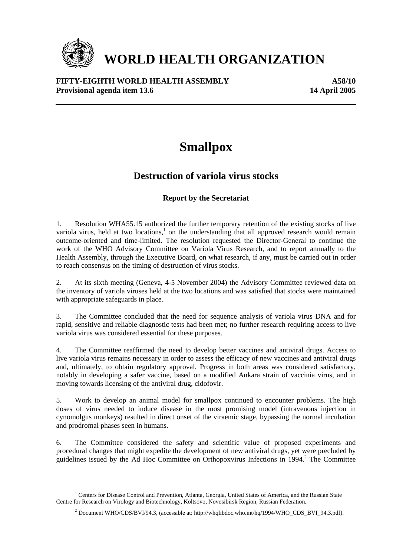

 $\overline{a}$ 

# **WORLD HEALTH ORGANIZATION**

## **FIFTY-EIGHTH WORLD HEALTH ASSEMBLY A58/10 Provisional agenda item 13.6** 14 April 2005

## **Smallpox**

## **Destruction of variola virus stocks**

## **Report by the Secretariat**

1. Resolution WHA55.15 authorized the further temporary retention of the existing stocks of live variola virus, held at two locations, $<sup>1</sup>$  on the understanding that all approved research would remain</sup> outcome-oriented and time-limited. The resolution requested the Director-General to continue the work of the WHO Advisory Committee on Variola Virus Research, and to report annually to the Health Assembly, through the Executive Board, on what research, if any, must be carried out in order to reach consensus on the timing of destruction of virus stocks.

2. At its sixth meeting (Geneva, 4-5 November 2004) the Advisory Committee reviewed data on the inventory of variola viruses held at the two locations and was satisfied that stocks were maintained with appropriate safeguards in place.

3. The Committee concluded that the need for sequence analysis of variola virus DNA and for rapid, sensitive and reliable diagnostic tests had been met; no further research requiring access to live variola virus was considered essential for these purposes.

4. The Committee reaffirmed the need to develop better vaccines and antiviral drugs. Access to live variola virus remains necessary in order to assess the efficacy of new vaccines and antiviral drugs and, ultimately, to obtain regulatory approval. Progress in both areas was considered satisfactory, notably in developing a safer vaccine, based on a modified Ankara strain of vaccinia virus, and in moving towards licensing of the antiviral drug, cidofovir.

5. Work to develop an animal model for smallpox continued to encounter problems. The high doses of virus needed to induce disease in the most promising model (intravenous injection in cynomolgus monkeys) resulted in direct onset of the viraemic stage, bypassing the normal incubation and prodromal phases seen in humans.

6. The Committee considered the safety and scientific value of proposed experiments and procedural changes that might expedite the development of new antiviral drugs, yet were precluded by guidelines issued by the Ad Hoc Committee on Orthopoxvirus Infections in  $1994<sup>2</sup>$ . The Committee

<sup>&</sup>lt;sup>1</sup> Centers for Disease Control and Prevention, Atlanta, Georgia, United States of America, and the Russian State Centre for Research on Virology and Biotechnology, Koltsovo, Novosibirsk Region, Russian Federation.

<sup>&</sup>lt;sup>2</sup> Document WHO/CDS/BVI/94.3, (accessible at: http://whqlibdoc.who.int/hq/1994/WHO\_CDS\_BVI\_94.3.pdf).